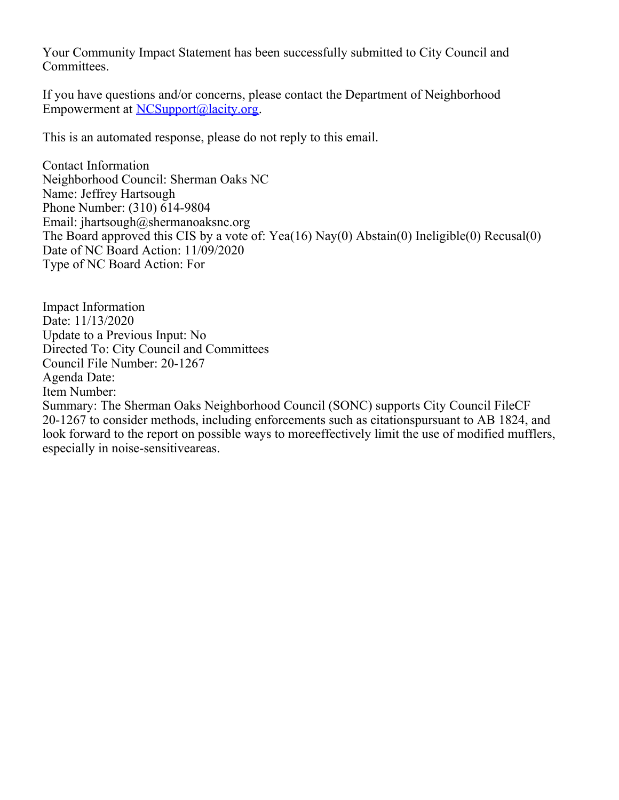Your Community Impact Statement has been successfully submitted to City Council and Committees.

If you have questions and/or concerns, please contact the Department of Neighborhood Empowerment at [NCSupport@lacity.org](mailto:NCSupport@lacity.org).

This is an automated response, please do not reply to this email.

Contact Information Neighborhood Council: Sherman Oaks NC Name: Jeffrey Hartsough Phone Number: (310) 614-9804 Email: jhartsough@shermanoaksnc.org The Board approved this CIS by a vote of: Yea(16) Nay(0) Abstain(0) Ineligible(0) Recusal(0) Date of NC Board Action: 11/09/2020 Type of NC Board Action: For

Impact Information Date: 11/13/2020 Update to a Previous Input: No Directed To: City Council and Committees Council File Number: 20-1267 Agenda Date: Item Number: Summary: The Sherman Oaks Neighborhood Council (SONC) supports City Council FileCF 20-1267 to consider methods, including enforcements such as citationspursuant to AB 1824, and look forward to the report on possible ways to moreeffectively limit the use of modified mufflers, especially in noise-sensitiveareas.